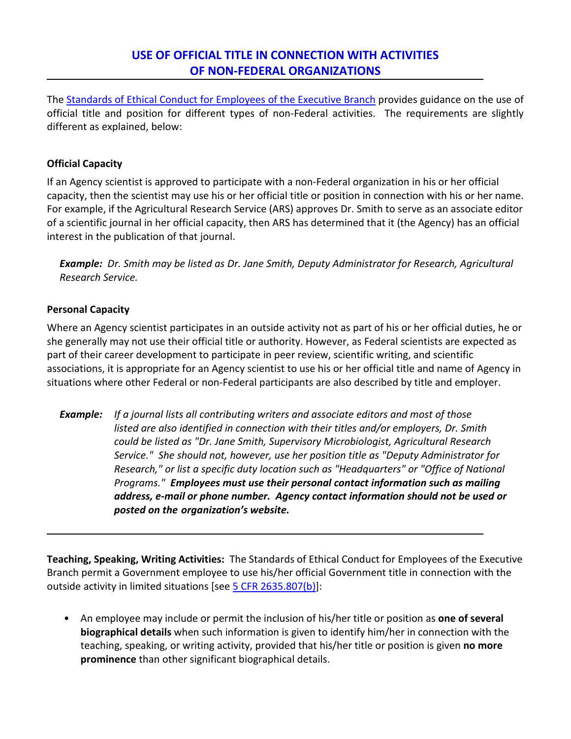## **USE OF OFFICIAL TITLE IN CONNECTION WITH ACTIVITIES OF NON-FEDERAL ORGANIZATIONS**

The [Standards of Ethical Conduct for Employees of the Executive Branch](https://oge.box.com/s/x28kyv6prxpx3pyqaauz2epb1gu0udh4) provides guidance on the use of official title and position for different types of non-Federal activities.The requirements are slightly different as explained, below:

## **Official Capacity**

If an Agency scientist is approved to participate with a non-Federal organization in his or her official capacity, then the scientist may use his or her official title or position in connection with his or her name. For example, if the Agricultural Research Service (ARS) approves Dr. Smith to serve as an associate editor of a scientific journal in her official capacity, then ARS has determined that it (the Agency) has an official interest in the publication of that journal.

*Example: Dr. Smith may be listed as Dr. Jane Smith, Deputy Administrator for Research, Agricultural Research Service.* 

## **Personal Capacity**

Where an Agency scientist participates in an outside activity not as part of his or her official duties, he or she generally may not use their official title or authority. However, as Federal scientists are expected as part of their career development to participate in peer review, scientific writing, and scientific associations, it is appropriate for an Agency scientist to use his or her official title and name of Agency in situations where other Federal or non-Federal participants are also described by title and employer.

*Example: If a journal lists all contributing writers and associate editors and most of those listed are also identified in connection with their titles and/or employers, Dr. Smith could be listed as "Dr. Jane Smith, Supervisory Microbiologist, Agricultural Research Service." She should not, however, use her position title as "Deputy Administrator for Research," or list a specific duty location such as "Headquarters" or "Office of National Programs." Employees must use their personal contact information such as mailing address, e-mail or phone number. Agency contact information should not be used or posted on the organization's website.*

**Teaching, Speaking, Writing Activities:** The Standards of Ethical Conduct for Employees of the Executive Branch permit a Government employee to use his/her official Government title in connection with the outside activity in limited situations [see [5 CFR 2635.807\(b\)\]](http://www.ecfr.gov/cgi-bin/text-idx?c=ecfr&SID=06f812f26e7ed9f364bb87944757b912&rgn=div5&view=text&node=5:3.0.10.10.9&idno=5#se5.3.2635_1807):

• An employee may include or permit the inclusion of his/her title or position as **one of several biographical details** when such information is given to identify him/her in connection with the teaching, speaking, or writing activity, provided that his/her title or position is given **no more prominence** than other significant biographical details.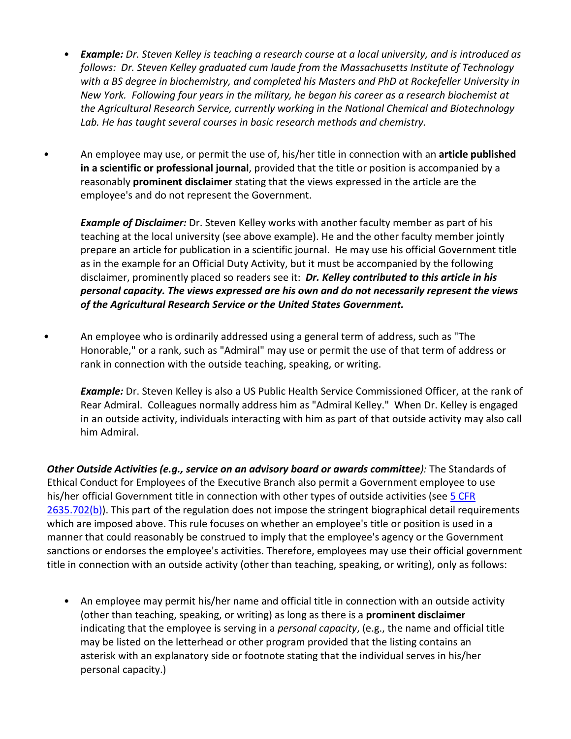- *Example: Dr. Steven Kelley is teaching a research course at a local university, and is introduced as follows: Dr. Steven Kelley graduated cum laude from the Massachusetts Institute of Technology with a BS degree in biochemistry, and completed his Masters and PhD at Rockefeller University in New York. Following four years in the military, he began his career as a research biochemist at the Agricultural Research Service, currently working in the National Chemical and Biotechnology Lab. He has taught several courses in basic research methods and chemistry.*
- An employee may use, or permit the use of, his/her title in connection with an **article published in a scientific or professional journal**, provided that the title or position is accompanied by a reasonably **prominent disclaimer** stating that the views expressed in the article are the employee's and do not represent the Government.

*Example of Disclaimer:* Dr. Steven Kelley works with another faculty member as part of his teaching at the local university (see above example). He and the other faculty member jointly prepare an article for publication in a scientific journal. He may use his official Government title as in the example for an Official Duty Activity, but it must be accompanied by the following disclaimer, prominently placed so readers see it: *Dr. Kelley contributed to this article in his personal capacity. The views expressed are his own and do not necessarily represent the views of the Agricultural Research Service or the United States Government.*

• An employee who is ordinarily addressed using a general term of address, such as "The Honorable," or a rank, such as "Admiral" may use or permit the use of that term of address or rank in connection with the outside teaching, speaking, or writing.

*Example:* Dr. Steven Kelley is also a US Public Health Service Commissioned Officer, at the rank of Rear Admiral. Colleagues normally address him as "Admiral Kelley." When Dr. Kelley is engaged in an outside activity, individuals interacting with him as part of that outside activity may also call him Admiral.

*Other Outside Activities (e.g., service on an advisory board or awards committee):* The Standards of Ethical Conduct for Employees of the Executive Branch also permit a Government employee to use his/her official Government title in connection with other types of outside activities (se[e 5 CFR](http://www.ecfr.gov/cgi-bin/text-idx?c=ecfr&SID=06f812f26e7ed9f364bb87944757b912&rgn=div5&view=text&node=5:3.0.10.10.9&idno=5#se5.3.2635_1702)  [2635.702\(b\)\)](http://www.ecfr.gov/cgi-bin/text-idx?c=ecfr&SID=06f812f26e7ed9f364bb87944757b912&rgn=div5&view=text&node=5:3.0.10.10.9&idno=5#se5.3.2635_1702). This part of the regulation does not impose the stringent biographical detail requirements which are imposed above. This rule focuses on whether an employee's title or position is used in a manner that could reasonably be construed to imply that the employee's agency or the Government sanctions or endorses the employee's activities. Therefore, employees may use their official government title in connection with an outside activity (other than teaching, speaking, or writing), only as follows:

• An employee may permit his/her name and official title in connection with an outside activity (other than teaching, speaking, or writing) as long as there is a **prominent disclaimer**  indicating that the employee is serving in a *personal capacity*, (e.g., the name and official title may be listed on the letterhead or other program provided that the listing contains an asterisk with an explanatory side or footnote stating that the individual serves in his/her personal capacity.)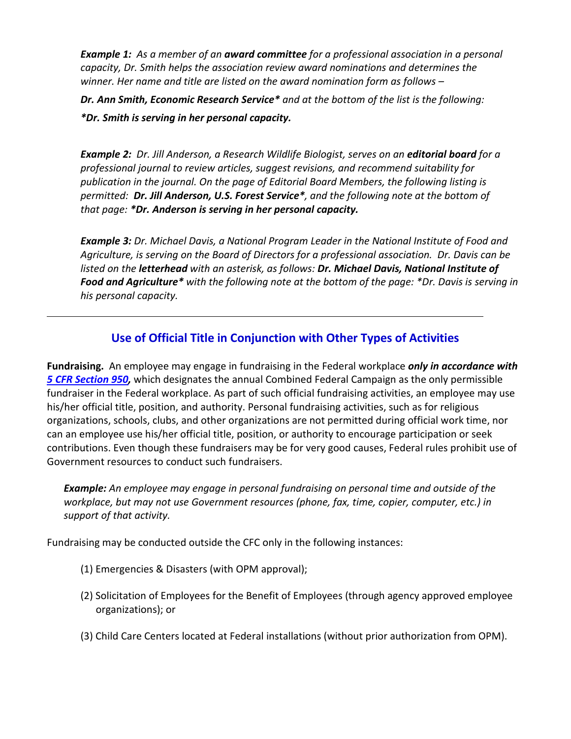*Example 1: As a member of an award committee for a professional association in a personal capacity, Dr. Smith helps the association review award nominations and determines the winner. Her name and title are listed on the award nomination form as follows –*

*Dr. Ann Smith, Economic Research Service\* and at the bottom of the list is the following: \*Dr. Smith is serving in her personal capacity.*

*Example 2: Dr. Jill Anderson, a Research Wildlife Biologist, serves on an editorial board for a professional journal to review articles, suggest revisions, and recommend suitability for publication in the journal. On the page of Editorial Board Members, the following listing is permitted: Dr. Jill Anderson, U.S. Forest Service\*, and the following note at the bottom of that page: \*Dr. Anderson is serving in her personal capacity.*

*Example 3: Dr. Michael Davis, a National Program Leader in the National Institute of Food and Agriculture, is serving on the Board of Directors for a professional association. Dr. Davis can be listed on the letterhead with an asterisk, as follows: Dr. Michael Davis, National Institute of Food and Agriculture\* with the following note at the bottom of the page: \*Dr. Davis is serving in his personal capacity.*

## **Use of Official Title in Conjunction with Other Types of Activities**

**Fundraising.** An employee may engage in fundraising in the Federal workplace *only in accordance with [5 CFR Section 950,](http://www.ecfr.gov/cgi-bin/text-idx?tpl=/ecfrbrowse/Title05/5cfr950_main_02.tpl)* which designates the annual Combined Federal Campaign as the only permissible fundraiser in the Federal workplace. As part of such official fundraising activities, an employee may use his/her official title, position, and authority. Personal fundraising activities, such as for religious organizations, schools, clubs, and other organizations are not permitted during official work time, nor can an employee use his/her official title, position, or authority to encourage participation or seek contributions. Even though these fundraisers may be for very good causes, Federal rules prohibit use of Government resources to conduct such fundraisers.

*Example: An employee may engage in personal fundraising on personal time and outside of the workplace, but may not use Government resources (phone, fax, time, copier, computer, etc.) in support of that activity.* 

Fundraising may be conducted outside the CFC only in the following instances:

- (1) Emergencies & Disasters (with OPM approval);
- (2) Solicitation of Employees for the Benefit of Employees (through agency approved employee organizations); or
- (3) Child Care Centers located at Federal installations (without prior authorization from OPM).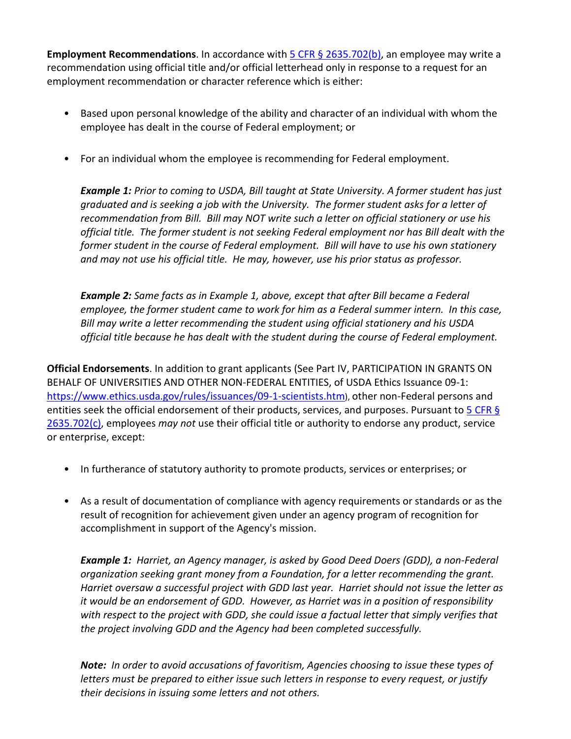**Employment Recommendations**. In accordance wit[h 5 CFR § 2635.702\(b\),](http://www.ecfr.gov/cgi-bin/text-idx?c=ecfr&SID=06f812f26e7ed9f364bb87944757b912&rgn=div5&view=text&node=5:3.0.10.10.9&idno=5#se5.3.2635_1702) an employee may write a recommendation using official title and/or official letterhead only in response to a request for an employment recommendation or character reference which is either:

- Based upon personal knowledge of the ability and character of an individual with whom the employee has dealt in the course of Federal employment; or
- For an individual whom the employee is recommending for Federal employment.

*Example 1: Prior to coming to USDA, Bill taught at State University. A former student has just graduated and is seeking a job with the University. The former student asks for a letter of recommendation from Bill. Bill may NOT write such a letter on official stationery or use his official title. The former student is not seeking Federal employment nor has Bill dealt with the former student in the course of Federal employment. Bill will have to use his own stationery and may not use his official title. He may, however, use his prior status as professor.*

*Example 2: Same facts as in Example 1, above, except that after Bill became a Federal employee, the former student came to work for him as a Federal summer intern. In this case, Bill may write a letter recommending the student using official stationery and his USDA official title because he has dealt with the student during the course of Federal employment.*

**Official Endorsements**. In addition to grant applicants (See Part IV, PARTICIPATION IN GRANTS ON BEHALF OF UNIVERSITIES AND OTHER NON-FEDERAL ENTITIES, of USDA Ethics Issuance 09-1: [https://www.ethics.usda.gov/rules/issuances/09-1-scientists.htm\)](https://www.ethics.usda.gov/rules/issuances/09-1-scientists.htm), other non-Federal persons and entities seek the official endorsement of their products, services, and purposes. Pursuant to 5 CFR § [2635.702\(c\),](http://www.ecfr.gov/cgi-bin/text-idx?c=ecfr&SID=06f812f26e7ed9f364bb87944757b912&rgn=div5&view=text&node=5:3.0.10.10.9&idno=5#se5.3.2635_1702) employees *may not* use their official title or authority to endorse any product, service or enterprise, except:

- In furtherance of statutory authority to promote products, services or enterprises; or
- As a result of documentation of compliance with agency requirements or standards or as the result of recognition for achievement given under an agency program of recognition for accomplishment in support of the Agency's mission.

*Example 1: Harriet, an Agency manager, is asked by Good Deed Doers (GDD), a non-Federal organization seeking grant money from a Foundation, for a letter recommending the grant. Harriet oversaw a successful project with GDD last year. Harriet should not issue the letter as it would be an endorsement of GDD. However, as Harriet was in a position of responsibility*  with respect to the project with GDD, she could issue a factual letter that simply verifies that *the project involving GDD and the Agency had been completed successfully.* 

*Note: In order to avoid accusations of favoritism, Agencies choosing to issue these types of letters must be prepared to either issue such letters in response to every request, or justify their decisions in issuing some letters and not others.*